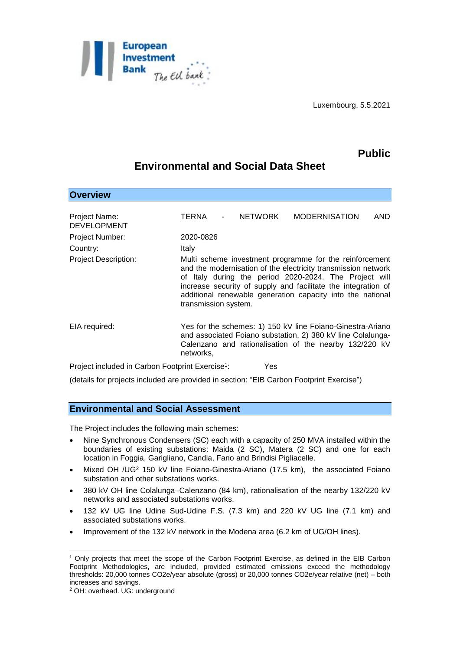

# **Public**

# **Environmental and Social Data Sheet**

| <b>Overview</b>                                              |                      |         |                                                                                                                                                                                                                                                                                                                   |     |
|--------------------------------------------------------------|----------------------|---------|-------------------------------------------------------------------------------------------------------------------------------------------------------------------------------------------------------------------------------------------------------------------------------------------------------------------|-----|
| Project Name:                                                | TERNA                | NETWORK | <b>MODERNISATION</b>                                                                                                                                                                                                                                                                                              | AND |
| <b>DEVELOPMENT</b>                                           |                      |         |                                                                                                                                                                                                                                                                                                                   |     |
| Project Number:                                              | 2020-0826            |         |                                                                                                                                                                                                                                                                                                                   |     |
| Country:                                                     | Italy                |         |                                                                                                                                                                                                                                                                                                                   |     |
| <b>Project Description:</b>                                  | transmission system. |         | Multi scheme investment programme for the reinforcement<br>and the modernisation of the electricity transmission network<br>of Italy during the period 2020-2024. The Project will<br>increase security of supply and facilitate the integration of<br>additional renewable generation capacity into the national |     |
| EIA required:                                                | networks,            |         | Yes for the schemes: 1) 150 kV line Foiano-Ginestra-Ariano<br>and associated Foiano substation, 2) 380 kV line Colalunga-<br>Calenzano and rationalisation of the nearby 132/220 kV                                                                                                                               |     |
| Project included in Carbon Footprint Exercise <sup>1</sup> : |                      | Yes     |                                                                                                                                                                                                                                                                                                                   |     |

(details for projects included are provided in section: "EIB Carbon Footprint Exercise")

## **Environmental and Social Assessment**

The Project includes the following main schemes:

- Nine Synchronous Condensers (SC) each with a capacity of 250 MVA installed within the boundaries of existing substations: Maida (2 SC), Matera (2 SC) and one for each location in Foggia, Garigliano, Candia, Fano and Brindisi Pigliacelle.
- Mixed OH /UG<sup>2</sup> 150 kV line Foiano-Ginestra-Ariano (17.5 km), the associated Foiano substation and other substations works.
- 380 kV OH line Colalunga–Calenzano (84 km), rationalisation of the nearby 132/220 kV networks and associated substations works.
- 132 kV UG line Udine Sud-Udine F.S. (7.3 km) and 220 kV UG line (7.1 km) and associated substations works.
- Improvement of the 132 kV network in the Modena area (6.2 km of UG/OH lines).

<sup>1</sup>  $1$  Only projects that meet the scope of the Carbon Footprint Exercise, as defined in the EIB Carbon Footprint Methodologies, are included, provided estimated emissions exceed the methodology thresholds: 20,000 tonnes CO2e/year absolute (gross) or 20,000 tonnes CO2e/year relative (net) – both increases and savings.

<sup>2</sup> OH: overhead. UG: underground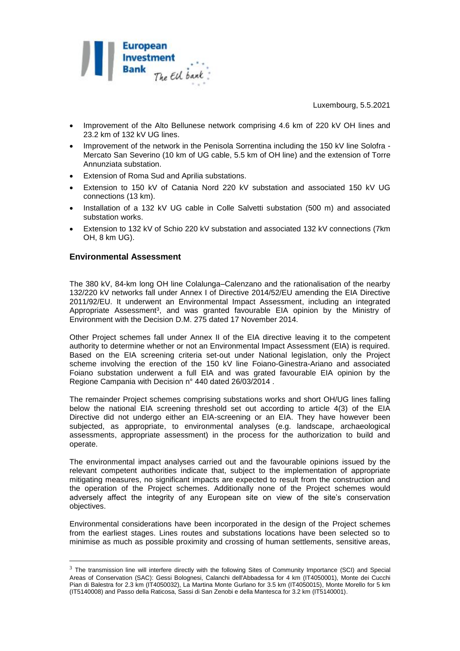

- Improvement of the Alto Bellunese network comprising 4.6 km of 220 kV OH lines and 23.2 km of 132 kV UG lines.
- Improvement of the network in the Penisola Sorrentina including the 150 kV line Solofra Mercato San Severino (10 km of UG cable, 5.5 km of OH line) and the extension of Torre Annunziata substation.
- Extension of Roma Sud and Aprilia substations.
- Extension to 150 kV of Catania Nord 220 kV substation and associated 150 kV UG connections (13 km).
- Installation of a 132 kV UG cable in Colle Salvetti substation (500 m) and associated substation works.
- Extension to 132 kV of Schio 220 kV substation and associated 132 kV connections (7km OH, 8 km UG).

### **Environmental Assessment**

1

The 380 kV, 84-km long OH line Colalunga–Calenzano and the rationalisation of the nearby 132/220 kV networks fall under Annex I of Directive 2014/52/EU amending the EIA Directive 2011/92/EU. It underwent an Environmental Impact Assessment, including an integrated Appropriate Assessment<sup>3</sup>, and was granted favourable EIA opinion by the Ministry of Environment with the Decision D.M. 275 dated 17 November 2014.

Other Project schemes fall under Annex II of the EIA directive leaving it to the competent authority to determine whether or not an Environmental Impact Assessment (EIA) is required. Based on the EIA screening criteria set-out under National legislation, only the Project scheme involving the erection of the 150 kV line Foiano-Ginestra-Ariano and associated Foiano substation underwent a full EIA and was grated favourable EIA opinion by the Regione Campania with Decision n° 440 dated 26/03/2014 .

The remainder Project schemes comprising substations works and short OH/UG lines falling below the national EIA screening threshold set out according to article 4(3) of the EIA Directive did not undergo either an EIA-screening or an EIA. They have however been subjected, as appropriate, to environmental analyses (e.g. landscape, archaeological assessments, appropriate assessment) in the process for the authorization to build and operate.

The environmental impact analyses carried out and the favourable opinions issued by the relevant competent authorities indicate that, subject to the implementation of appropriate mitigating measures, no significant impacts are expected to result from the construction and the operation of the Project schemes. Additionally none of the Project schemes would adversely affect the integrity of any European site on view of the site's conservation objectives.

Environmental considerations have been incorporated in the design of the Project schemes from the earliest stages. Lines routes and substations locations have been selected so to minimise as much as possible proximity and crossing of human settlements, sensitive areas,

<sup>&</sup>lt;sup>3</sup> The transmission line will interfere directly with the following Sites of Community Importance (SCI) and Special Areas of Conservation (SAC): Gessi Bolognesi, Calanchi dell'Abbadessa for 4 km (IT4050001), Monte dei Cucchi Pian di Balestra for 2.3 km (IT4050032), La Martina Monte Gurlano for 3.5 km (IT4050015), Monte Morello for 5 km (IT5140008) and Passo della Raticosa, Sassi di San Zenobi e della Mantesca for 3.2 km (IT5140001).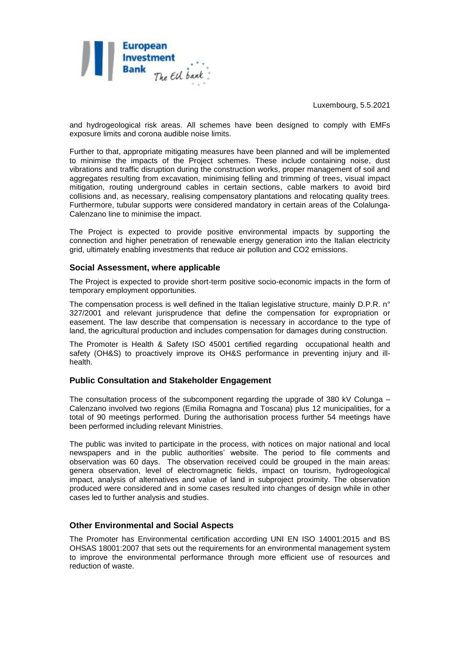

and hydrogeological risk areas. All schemes have been designed to comply with EMFs exposure limits and corona audible noise limits.

Further to that, appropriate mitigating measures have been planned and will be implemented to minimise the impacts of the Project schemes. These include containing noise, dust vibrations and traffic disruption during the construction works, proper management of soil and aggregates resulting from excavation, minimising felling and trimming of trees, visual impact mitigation, routing underground cables in certain sections, cable markers to avoid bird collisions and, as necessary, realising compensatory plantations and relocating quality trees. Furthermore, tubular supports were considered mandatory in certain areas of the Colalunga-Calenzano line to minimise the impact.

The Project is expected to provide positive environmental impacts by supporting the connection and higher penetration of renewable energy generation into the Italian electricity grid, ultimately enabling investments that reduce air pollution and CO2 emissions.

#### **Social Assessment, where applicable**

The Project is expected to provide short-term positive socio-economic impacts in the form of temporary employment opportunities.

The compensation process is well defined in the Italian legislative structure, mainly D.P.R. n° 327/2001 and relevant jurisprudence that define the compensation for expropriation or easement. The law describe that compensation is necessary in accordance to the type of land, the agricultural production and includes compensation for damages during construction.

The Promoter is Health & Safety ISO 45001 certified regarding occupational health and safety (OH&S) to proactively improve its OH&S performance in preventing injury and illhealth.

#### **Public Consultation and Stakeholder Engagement**

The consultation process of the subcomponent regarding the upgrade of 380 kV Colunga – Calenzano involved two regions (Emilia Romagna and Toscana) plus 12 municipalities, for a total of 90 meetings performed. During the authorisation process further 54 meetings have been performed including relevant Ministries.

The public was invited to participate in the process, with notices on major national and local newspapers and in the public authorities' website. The period to file comments and observation was 60 days. The observation received could be grouped in the main areas: genera observation, level of electromagnetic fields, impact on tourism, hydrogeological impact, analysis of alternatives and value of land in subproject proximity. The observation produced were considered and in some cases resulted into changes of design while in other cases led to further analysis and studies.

#### **Other Environmental and Social Aspects**

The Promoter has Environmental certification according UNI EN ISO 14001:2015 and BS OHSAS 18001:2007 that sets out the requirements for an environmental management system to improve the environmental performance through more efficient use of resources and reduction of waste.